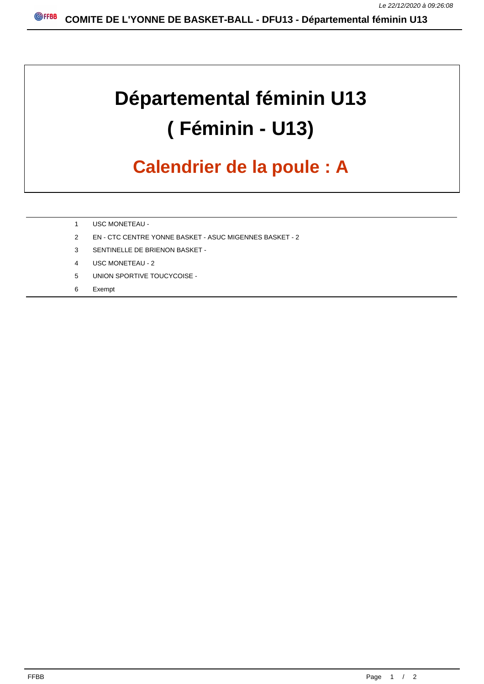## **Départemental féminin U13 ( Féminin - U13)**

## **Calendrier de la poule : A**

- 1 USC MONETEAU -
- 2 EN CTC CENTRE YONNE BASKET ASUC MIGENNES BASKET 2
- 3 SENTINELLE DE BRIENON BASKET -
- 4 USC MONETEAU 2
- 5 UNION SPORTIVE TOUCYCOISE -
- 6 Exempt